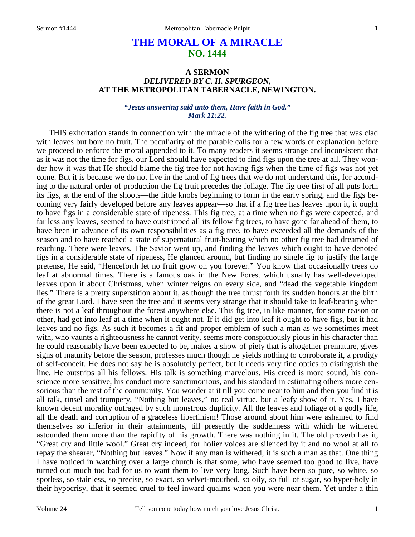# **THE MORAL OF A MIRACLE NO. 1444**

# **A SERMON**  *DELIVERED BY C. H. SPURGEON,*  **AT THE METROPOLITAN TABERNACLE, NEWINGTON.**

### *"Jesus answering said unto them, Have faith in God." Mark 11:22.*

THIS exhortation stands in connection with the miracle of the withering of the fig tree that was clad with leaves but bore no fruit. The peculiarity of the parable calls for a few words of explanation before we proceed to enforce the moral appended to it. To many readers it seems strange and inconsistent that as it was not the time for figs, our Lord should have expected to find figs upon the tree at all. They wonder how it was that He should blame the fig tree for not having figs when the time of figs was not yet come. But it is because we do not live in the land of fig trees that we do not understand this, for according to the natural order of production the fig fruit precedes the foliage. The fig tree first of all puts forth its figs, at the end of the shoots—the little knobs beginning to form in the early spring, and the figs becoming very fairly developed before any leaves appear—so that if a fig tree has leaves upon it, it ought to have figs in a considerable state of ripeness. This fig tree, at a time when no figs were expected, and far less any leaves, seemed to have outstripped all its fellow fig trees, to have gone far ahead of them, to have been in advance of its own responsibilities as a fig tree, to have exceeded all the demands of the season and to have reached a state of supernatural fruit-bearing which no other fig tree had dreamed of reaching. There were leaves. The Savior went up, and finding the leaves which ought to have denoted figs in a considerable state of ripeness, He glanced around, but finding no single fig to justify the large pretense, He said, "Henceforth let no fruit grow on you forever." You know that occasionally trees do leaf at abnormal times. There is a famous oak in the New Forest which usually has well-developed leaves upon it about Christmas, when winter reigns on every side, and "dead the vegetable kingdom lies." There is a pretty superstition about it, as though the tree thrust forth its sudden honors at the birth of the great Lord. I have seen the tree and it seems very strange that it should take to leaf-bearing when there is not a leaf throughout the forest anywhere else. This fig tree, in like manner, for some reason or other, had got into leaf at a time when it ought not. If it did get into leaf it ought to have figs, but it had leaves and no figs. As such it becomes a fit and proper emblem of such a man as we sometimes meet with, who vaunts a righteousness he cannot verify, seems more conspicuously pious in his character than he could reasonably have been expected to be, makes a show of piety that is altogether premature, gives signs of maturity before the season, professes much though he yields nothing to corroborate it, a prodigy of self-conceit. He does not say he is absolutely perfect, but it needs very fine optics to distinguish the line. He outstrips all his fellows. His talk is something marvelous. His creed is more sound, his conscience more sensitive, his conduct more sanctimonious, and his standard in estimating others more censorious than the rest of the community. You wonder at it till you come near to him and then you find it is all talk, tinsel and trumpery, "Nothing but leaves," no real virtue, but a leafy show of it. Yes, I have known decent morality outraged by such monstrous duplicity. All the leaves and foliage of a godly life, all the death and corruption of a graceless libertinism! Those around about him were ashamed to find themselves so inferior in their attainments, till presently the suddenness with which he withered astounded them more than the rapidity of his growth. There was nothing in it. The old proverb has it, "Great cry and little wool." Great cry indeed, for holier voices are silenced by it and no wool at all to repay the shearer, "Nothing but leaves." Now if any man is withered, it is such a man as that. One thing I have noticed in watching over a large church is that some, who have seemed too good to live, have turned out much too bad for us to want them to live very long. Such have been so pure, so white, so spotless, so stainless, so precise, so exact, so velvet-mouthed, so oily, so full of sugar, so hyper-holy in their hypocrisy, that it seemed cruel to feel inward qualms when you were near them. Yet under a thin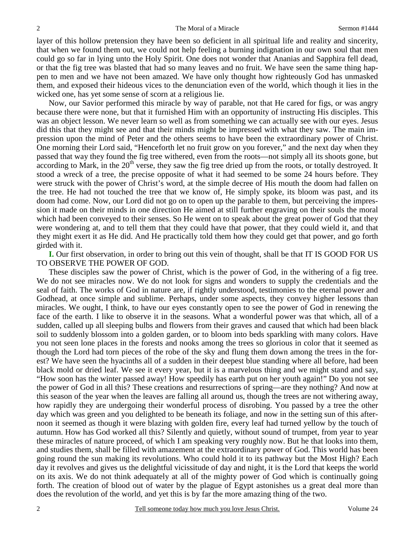layer of this hollow pretension they have been so deficient in all spiritual life and reality and sincerity, that when we found them out, we could not help feeling a burning indignation in our own soul that men could go so far in lying unto the Holy Spirit. One does not wonder that Ananias and Sapphira fell dead, or that the fig tree was blasted that had so many leaves and no fruit. We have seen the same thing happen to men and we have not been amazed. We have only thought how righteously God has unmasked them, and exposed their hideous vices to the denunciation even of the world, which though it lies in the wicked one, has yet some sense of scorn at a religious lie.

Now, our Savior performed this miracle by way of parable, not that He cared for figs, or was angry because there were none, but that it furnished Him with an opportunity of instructing His disciples. This was an object lesson. We never learn so well as from something we can actually see with our eyes. Jesus did this that they might see and that their minds might be impressed with what they saw. The main impression upon the mind of Peter and the others seems to have been the extraordinary power of Christ. One morning their Lord said, "Henceforth let no fruit grow on you forever," and the next day when they passed that way they found the fig tree withered, even from the roots—not simply all its shoots gone, but according to Mark, in the  $20<sup>th</sup>$  verse, they saw the fig tree dried up from the roots, or totally destroyed. It stood a wreck of a tree, the precise opposite of what it had seemed to be some 24 hours before. They were struck with the power of Christ's word, at the simple decree of His mouth the doom had fallen on the tree. He had not touched the tree that we know of, He simply spoke, its bloom was past, and its doom had come. Now, our Lord did not go on to open up the parable to them, but perceiving the impression it made on their minds in one direction He aimed at still further engraving on their souls the moral which had been conveyed to their senses. So He went on to speak about the great power of God that they were wondering at, and to tell them that they could have that power, that they could wield it, and that they might exert it as He did. And He practically told them how they could get that power, and go forth girded with it.

**I.** Our first observation, in order to bring out this vein of thought, shall be that IT IS GOOD FOR US TO OBSERVE THE POWER OF GOD.

These disciples saw the power of Christ, which is the power of God, in the withering of a fig tree. We do not see miracles now. We do not look for signs and wonders to supply the credentials and the seal of faith. The works of God in nature are, if rightly understood, testimonies to the eternal power and Godhead, at once simple and sublime. Perhaps, under some aspects, they convey higher lessons than miracles. We ought, I think, to have our eyes constantly open to see the power of God in renewing the face of the earth. I like to observe it in the seasons. What a wonderful power was that which, all of a sudden, called up all sleeping bulbs and flowers from their graves and caused that which had been black soil to suddenly blossom into a golden garden, or to bloom into beds sparkling with many colors. Have you not seen lone places in the forests and nooks among the trees so glorious in color that it seemed as though the Lord had torn pieces of the robe of the sky and flung them down among the trees in the forest? We have seen the hyacinths all of a sudden in their deepest blue standing where all before, had been black mold or dried leaf. We see it every year, but it is a marvelous thing and we might stand and say, "How soon has the winter passed away! How speedily has earth put on her youth again!" Do you not see the power of God in all this? These creations and resurrections of spring—are they nothing? And now at this season of the year when the leaves are falling all around us, though the trees are not withering away, how rapidly they are undergoing their wonderful process of disrobing. You passed by a tree the other day which was green and you delighted to be beneath its foliage, and now in the setting sun of this afternoon it seemed as though it were blazing with golden fire, every leaf had turned yellow by the touch of autumn. How has God worked all this? Silently and quietly, without sound of trumpet, from year to year these miracles of nature proceed, of which I am speaking very roughly now. But he that looks into them, and studies them, shall be filled with amazement at the extraordinary power of God. This world has been going round the sun making its revolutions. Who could hold it to its pathway but the Most High? Each day it revolves and gives us the delightful vicissitude of day and night, it is the Lord that keeps the world on its axis. We do not think adequately at all of the mighty power of God which is continually going forth. The creation of blood out of water by the plague of Egypt astonishes us a great deal more than does the revolution of the world, and yet this is by far the more amazing thing of the two.

2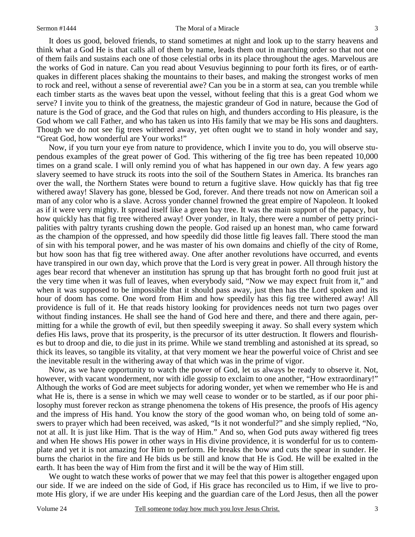#### Sermon #1444 The Moral of a Miracle

It does us good, beloved friends, to stand sometimes at night and look up to the starry heavens and think what a God He is that calls all of them by name, leads them out in marching order so that not one of them fails and sustains each one of those celestial orbs in its place throughout the ages. Marvelous are the works of God in nature. Can you read about Vesuvius beginning to pour forth its fires, or of earthquakes in different places shaking the mountains to their bases, and making the strongest works of men to rock and reel, without a sense of reverential awe? Can you be in a storm at sea, can you tremble while each timber starts as the waves beat upon the vessel, without feeling that this is a great God whom we serve? I invite you to think of the greatness, the majestic grandeur of God in nature, because the God of nature is the God of grace, and the God that rules on high, and thunders according to His pleasure, is the God whom we call Father, and who has taken us into His family that we may be His sons and daughters. Though we do not see fig trees withered away, yet often ought we to stand in holy wonder and say, "Great God, how wonderful are Your works!"

Now, if you turn your eye from nature to providence, which I invite you to do, you will observe stupendous examples of the great power of God. This withering of the fig tree has been repeated 10,000 times on a grand scale. I will only remind you of what has happened in our own day. A few years ago slavery seemed to have struck its roots into the soil of the Southern States in America. Its branches ran over the wall, the Northern States were bound to return a fugitive slave. How quickly has that fig tree withered away! Slavery has gone, blessed be God, forever. And there treads not now on American soil a man of any color who is a slave. Across yonder channel frowned the great empire of Napoleon. It looked as if it were very mighty. It spread itself like a green bay tree. It was the main support of the papacy, but how quickly has that fig tree withered away! Over yonder, in Italy, there were a number of petty principalities with paltry tyrants crushing down the people. God raised up an honest man, who came forward as the champion of the oppressed, and how speedily did those little fig leaves fall. There stood the man of sin with his temporal power, and he was master of his own domains and chiefly of the city of Rome, but how soon has that fig tree withered away. One after another revolutions have occurred, and events have transpired in our own day, which prove that the Lord is very great in power. All through history the ages bear record that whenever an institution has sprung up that has brought forth no good fruit just at the very time when it was full of leaves, when everybody said, "Now we may expect fruit from it," and when it was supposed to be impossible that it should pass away, just then has the Lord spoken and its hour of doom has come. One word from Him and how speedily has this fig tree withered away! All providence is full of it. He that reads history looking for providences needs not turn two pages over without finding instances. He shall see the hand of God here and there, and there and there again, permitting for a while the growth of evil, but then speedily sweeping it away. So shall every system which defies His laws, prove that its prosperity, is the precursor of its utter destruction. It flowers and flourishes but to droop and die, to die just in its prime. While we stand trembling and astonished at its spread, so thick its leaves, so tangible its vitality, at that very moment we hear the powerful voice of Christ and see the inevitable result in the withering away of that which was in the prime of vigor.

Now, as we have opportunity to watch the power of God, let us always be ready to observe it. Not, however, with vacant wonderment, nor with idle gossip to exclaim to one another, "How extraordinary!" Although the works of God are meet subjects for adoring wonder, yet when we remember who He is and what He is, there is a sense in which we may well cease to wonder or to be startled, as if our poor philosophy must forever reckon as strange phenomena the tokens of His presence, the proofs of His agency and the impress of His hand. You know the story of the good woman who, on being told of some answers to prayer which had been received, was asked, "Is it not wonderful?" and she simply replied, "No, not at all. It is just like Him. That is the way of Him." And so, when God puts away withered fig trees and when He shows His power in other ways in His divine providence, it is wonderful for us to contemplate and yet it is not amazing for Him to perform. He breaks the bow and cuts the spear in sunder. He burns the chariot in the fire and He bids us be still and know that He is God. He will be exalted in the earth. It has been the way of Him from the first and it will be the way of Him still.

We ought to watch these works of power that we may feel that this power is altogether engaged upon our side. If we are indeed on the side of God, if His grace has reconciled us to Him, if we live to promote His glory, if we are under His keeping and the guardian care of the Lord Jesus, then all the power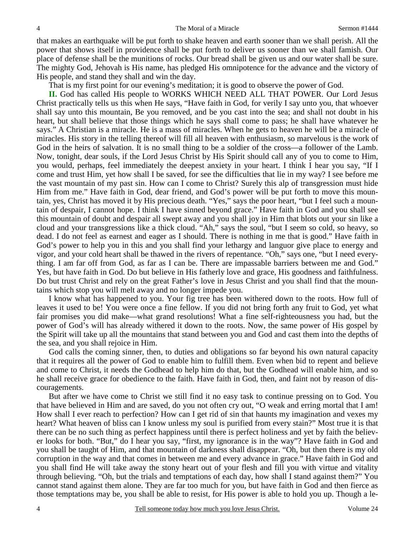that makes an earthquake will be put forth to shake heaven and earth sooner than we shall perish. All the power that shows itself in providence shall be put forth to deliver us sooner than we shall famish. Our place of defense shall be the munitions of rocks. Our bread shall be given us and our water shall be sure. The mighty God, Jehovah is His name, has pledged His omnipotence for the advance and the victory of His people, and stand they shall and win the day.

That is my first point for our evening's meditation; it is good to observe the power of God.

**II.** God has called His people to WORKS WHICH NEED ALL THAT POWER. Our Lord Jesus Christ practically tells us this when He says, "Have faith in God, for verily I say unto you, that whoever shall say unto this mountain, Be you removed, and be you cast into the sea; and shall not doubt in his heart, but shall believe that those things which he says shall come to pass; he shall have whatever he says." A Christian is a miracle. He is a mass of miracles. When he gets to heaven he will be a miracle of miracles. His story in the telling thereof will fill all heaven with enthusiasm, so marvelous is the work of God in the heirs of salvation. It is no small thing to be a soldier of the cross—a follower of the Lamb. Now, tonight, dear souls, if the Lord Jesus Christ by His Spirit should call any of you to come to Him, you would, perhaps, feel immediately the deepest anxiety in your heart. I think I hear you say, "If I come and trust Him, yet how shall I be saved, for see the difficulties that lie in my way? I see before me the vast mountain of my past sin. How can I come to Christ? Surely this alp of transgression must hide Him from me." Have faith in God, dear friend, and God's power will be put forth to move this mountain, yes, Christ has moved it by His precious death. "Yes," says the poor heart, "but I feel such a mountain of despair, I cannot hope. I think I have sinned beyond grace." Have faith in God and you shall see this mountain of doubt and despair all swept away and you shall joy in Him that blots out your sin like a cloud and your transgressions like a thick cloud. "Ah," says the soul, "but I seem so cold, so heavy, so dead. I do not feel as earnest and eager as I should. There is nothing in me that is good." Have faith in God's power to help you in this and you shall find your lethargy and languor give place to energy and vigor, and your cold heart shall be thawed in the rivers of repentance. "Oh," says one, "but I need everything. I am far off from God, as far as I can be. There are impassable barriers between me and God." Yes, but have faith in God. Do but believe in His fatherly love and grace, His goodness and faithfulness. Do but trust Christ and rely on the great Father's love in Jesus Christ and you shall find that the mountains which stop you will melt away and no longer impede you.

I know what has happened to you. Your fig tree has been withered down to the roots. How full of leaves it used to be! You were once a fine fellow. If you did not bring forth any fruit to God, yet what fair promises you did make—what grand resolutions! What a fine self-righteousness you had, but the power of God's will has already withered it down to the roots. Now, the same power of His gospel by the Spirit will take up all the mountains that stand between you and God and cast them into the depths of the sea, and you shall rejoice in Him.

God calls the coming sinner, then, to duties and obligations so far beyond his own natural capacity that it requires all the power of God to enable him to fulfill them. Even when bid to repent and believe and come to Christ, it needs the Godhead to help him do that, but the Godhead will enable him, and so he shall receive grace for obedience to the faith. Have faith in God, then, and faint not by reason of discouragements.

But after we have come to Christ we still find it no easy task to continue pressing on to God. You that have believed in Him and are saved, do you not often cry out, "O weak and erring mortal that I am! How shall I ever reach to perfection? How can I get rid of sin that haunts my imagination and vexes my heart? What heaven of bliss can I know unless my soul is purified from every stain?" Most true it is that there can be no such thing as perfect happiness until there is perfect holiness and yet by faith the believer looks for both. "But," do I hear you say, "first, my ignorance is in the way"? Have faith in God and you shall be taught of Him, and that mountain of darkness shall disappear. "Oh, but then there is my old corruption in the way and that comes in between me and every advance in grace." Have faith in God and you shall find He will take away the stony heart out of your flesh and fill you with virtue and vitality through believing. "Oh, but the trials and temptations of each day, how shall I stand against them?" You cannot stand against them alone. They are far too much for you, but have faith in God and then fierce as those temptations may be, you shall be able to resist, for His power is able to hold you up. Though a le-

4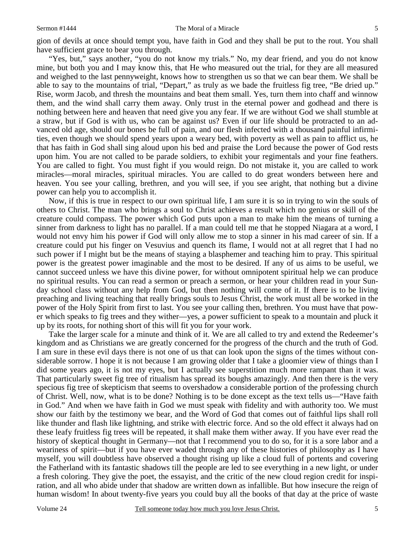gion of devils at once should tempt you, have faith in God and they shall be put to the rout. You shall have sufficient grace to bear you through.

"Yes, but," says another, "you do not know my trials." No, my dear friend, and you do not know mine, but both you and I may know this, that He who measured out the trial, for they are all measured and weighed to the last pennyweight, knows how to strengthen us so that we can bear them. We shall be able to say to the mountains of trial, "Depart," as truly as we bade the fruitless fig tree, "Be dried up." Rise, worm Jacob, and thresh the mountains and beat them small. Yes, turn them into chaff and winnow them, and the wind shall carry them away. Only trust in the eternal power and godhead and there is nothing between here and heaven that need give you any fear. If we are without God we shall stumble at a straw, but if God is with us, who can be against us? Even if our life should be protracted to an advanced old age, should our bones be full of pain, and our flesh infected with a thousand painful infirmities, even though we should spend years upon a weary bed, with poverty as well as pain to afflict us, he that has faith in God shall sing aloud upon his bed and praise the Lord because the power of God rests upon him. You are not called to be parade soldiers, to exhibit your regimentals and your fine feathers. You are called to fight. You must fight if you would reign. Do not mistake it, you are called to work miracles—moral miracles, spiritual miracles. You are called to do great wonders between here and heaven. You see your calling, brethren, and you will see, if you see aright, that nothing but a divine power can help you to accomplish it.

Now, if this is true in respect to our own spiritual life, I am sure it is so in trying to win the souls of others to Christ. The man who brings a soul to Christ achieves a result which no genius or skill of the creature could compass. The power which God puts upon a man to make him the means of turning a sinner from darkness to light has no parallel. If a man could tell me that he stopped Niagara at a word, I would not envy him his power if God will only allow me to stop a sinner in his mad career of sin. If a creature could put his finger on Vesuvius and quench its flame, I would not at all regret that I had no such power if I might but be the means of staying a blasphemer and teaching him to pray. This spiritual power is the greatest power imaginable and the most to be desired. If any of us aims to be useful, we cannot succeed unless we have this divine power, for without omnipotent spiritual help we can produce no spiritual results. You can read a sermon or preach a sermon, or hear your children read in your Sunday school class without any help from God, but then nothing will come of it. If there is to be living preaching and living teaching that really brings souls to Jesus Christ, the work must all be worked in the power of the Holy Spirit from first to last. You see your calling then, brethren. You must have that power which speaks to fig trees and they wither—yes, a power sufficient to speak to a mountain and pluck it up by its roots, for nothing short of this will fit you for your work.

Take the larger scale for a minute and think of it. We are all called to try and extend the Redeemer's kingdom and as Christians we are greatly concerned for the progress of the church and the truth of God. I am sure in these evil days there is not one of us that can look upon the signs of the times without considerable sorrow. I hope it is not because I am growing older that I take a gloomier view of things than I did some years ago, it is not my eyes, but I actually see superstition much more rampant than it was. That particularly sweet fig tree of ritualism has spread its boughs amazingly. And then there is the very specious fig tree of skepticism that seems to overshadow a considerable portion of the professing church of Christ. Well, now, what is to be done? Nothing is to be done except as the text tells us—"Have faith in God." And when we have faith in God we must speak with fidelity and with authority too. We must show our faith by the testimony we bear, and the Word of God that comes out of faithful lips shall roll like thunder and flash like lightning, and strike with electric force. And so the old effect it always had on these leafy fruitless fig trees will be repeated, it shall make them wither away. If you have ever read the history of skeptical thought in Germany—not that I recommend you to do so, for it is a sore labor and a weariness of spirit—but if you have ever waded through any of these histories of philosophy as I have myself, you will doubtless have observed a thought rising up like a cloud full of portents and covering the Fatherland with its fantastic shadows till the people are led to see everything in a new light, or under a fresh coloring. They give the poet, the essayist, and the critic of the new cloud region credit for inspiration, and all who abide under that shadow are written down as infallible. But how insecure the reign of human wisdom! In about twenty-five years you could buy all the books of that day at the price of waste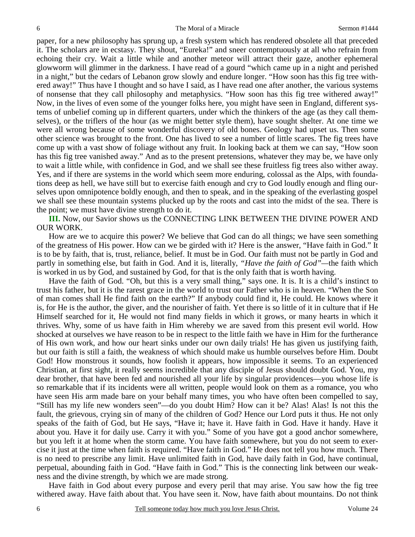paper, for a new philosophy has sprung up, a fresh system which has rendered obsolete all that preceded it. The scholars are in ecstasy. They shout, "Eureka!" and sneer contemptuously at all who refrain from echoing their cry. Wait a little while and another meteor will attract their gaze, another ephemeral glowworm will glimmer in the darkness. I have read of a gourd "which came up in a night and perished in a night," but the cedars of Lebanon grow slowly and endure longer. "How soon has this fig tree withered away!" Thus have I thought and so have I said, as I have read one after another, the various systems of nonsense that they call philosophy and metaphysics. "How soon has this fig tree withered away!" Now, in the lives of even some of the younger folks here, you might have seen in England, different systems of unbelief coming up in different quarters, under which the thinkers of the age (as they call themselves), or the triflers of the hour (as we might better style them), have sought shelter. At one time we were all wrong because of some wonderful discovery of old bones. Geology had upset us. Then some other science was brought to the front. One has lived to see a number of little scares. The fig trees have come up with a vast show of foliage without any fruit. In looking back at them we can say, "How soon has this fig tree vanished away." And as to the present pretensions, whatever they may be, we have only to wait a little while, with confidence in God, and we shall see these fruitless fig trees also wither away. Yes, and if there are systems in the world which seem more enduring, colossal as the Alps, with foundations deep as hell, we have still but to exercise faith enough and cry to God loudly enough and fling ourselves upon omnipotence boldly enough, and then to speak, and in the speaking of the everlasting gospel we shall see these mountain systems plucked up by the roots and cast into the midst of the sea. There is the point; we must have divine strength to do it.

**III.** Now, our Savior shows us the CONNECTING LINK BETWEEN THE DIVINE POWER AND OUR WORK.

How are we to acquire this power? We believe that God can do all things; we have seen something of the greatness of His power. How can we be girded with it? Here is the answer, "Have faith in God." It is to be by faith, that is, trust, reliance, belief. It must be in God. Our faith must not be partly in God and partly in something else, but faith in God. And it is, literally, *"Have the faith of God"—*the faith which is worked in us by God, and sustained by God, for that is the only faith that is worth having.

Have the faith of God. "Oh, but this is a very small thing," says one. It is. It is a child's instinct to trust his father, but it is the rarest grace in the world to trust our Father who is in heaven. "When the Son of man comes shall He find faith on the earth?" If anybody could find it, He could. He knows where it is, for He is the author, the giver, and the nourisher of faith. Yet there is so little of it in culture that if He Himself searched for it, He would not find many fields in which it grows, or many hearts in which it thrives. Why, some of us have faith in Him whereby we are saved from this present evil world. How shocked at ourselves we have reason to be in respect to the little faith we have in Him for the furtherance of His own work, and how our heart sinks under our own daily trials! He has given us justifying faith, but our faith is still a faith, the weakness of which should make us humble ourselves before Him. Doubt God! How monstrous it sounds, how foolish it appears, how impossible it seems. To an experienced Christian, at first sight, it really seems incredible that any disciple of Jesus should doubt God. You, my dear brother, that have been fed and nourished all your life by singular providences—you whose life is so remarkable that if its incidents were all written, people would look on them as a romance, you who have seen His arm made bare on your behalf many times, you who have often been compelled to say, "Still has my life new wonders seen"—do you doubt Him? How can it be? Alas! Alas! Is not this the fault, the grievous, crying sin of many of the children of God? Hence our Lord puts it thus. He not only speaks of the faith of God, but He says, "Have it; have it. Have faith in God. Have it handy. Have it about you. Have it for daily use. Carry it with you." Some of you have got a good anchor somewhere, but you left it at home when the storm came. You have faith somewhere, but you do not seem to exercise it just at the time when faith is required. "Have faith in God." He does not tell you how much. There is no need to prescribe any limit. Have unlimited faith in God, have daily faith in God, have continual, perpetual, abounding faith in God. "Have faith in God." This is the connecting link between our weakness and the divine strength, by which we are made strong.

Have faith in God about every purpose and every peril that may arise. You saw how the fig tree withered away. Have faith about that. You have seen it. Now, have faith about mountains. Do not think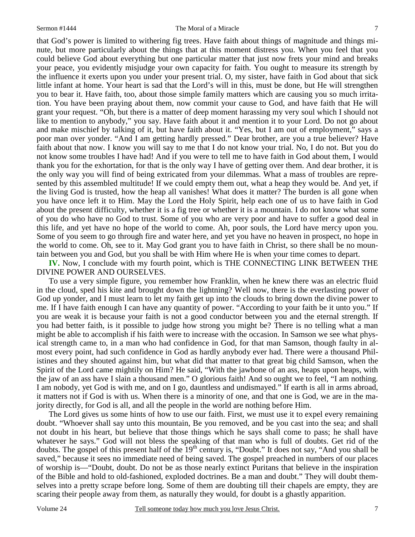that God's power is limited to withering fig trees. Have faith about things of magnitude and things minute, but more particularly about the things that at this moment distress you. When you feel that you could believe God about everything but one particular matter that just now frets your mind and breaks your peace, you evidently misjudge your own capacity for faith. You ought to measure its strength by the influence it exerts upon you under your present trial. O, my sister, have faith in God about that sick little infant at home. Your heart is sad that the Lord's will in this, must be done, but He will strengthen you to bear it. Have faith, too, about those simple family matters which are causing you so much irritation. You have been praying about them, now commit your cause to God, and have faith that He will grant your request. "Oh, but there is a matter of deep moment harassing my very soul which I should not like to mention to anybody," you say. Have faith about it and mention it to your Lord. Do not go about and make mischief by talking of it, but have faith about it. "Yes, but I am out of employment," says a poor man over yonder. "And I am getting hardly pressed." Dear brother, are you a true believer? Have faith about that now. I know you will say to me that I do not know your trial. No, I do not. But you do not know some troubles I have had! And if you were to tell me to have faith in God about them, I would thank you for the exhortation, for that is the only way I have of getting over them. And dear brother, it is the only way you will find of being extricated from your dilemmas. What a mass of troubles are represented by this assembled multitude! If we could empty them out, what a heap they would be. And yet, if the living God is trusted, how the heap all vanishes! What does it matter? The burden is all gone when you have once left it to Him. May the Lord the Holy Spirit, help each one of us to have faith in God about the present difficulty, whether it is a fig tree or whether it is a mountain. I do not know what some of you do who have no God to trust. Some of you who are very poor and have to suffer a good deal in this life, and yet have no hope of the world to come. Ah, poor souls, the Lord have mercy upon you. Some of you seem to go through fire and water here, and yet you have no heaven in prospect, no hope in the world to come. Oh, see to it. May God grant you to have faith in Christ, so there shall be no mountain between you and God, but you shall be with Him where He is when your time comes to depart.

**IV.** Now, I conclude with my fourth point, which is THE CONNECTING LINK BETWEEN THE DIVINE POWER AND OURSELVES.

To use a very simple figure, you remember how Franklin, when he knew there was an electric fluid in the cloud, sped his kite and brought down the lightning? Well now, there is the everlasting power of God up yonder, and I must learn to let my faith get up into the clouds to bring down the divine power to me. If I have faith enough I can have any quantity of power. "According to your faith be it unto you." If you are weak it is because your faith is not a good conductor between you and the eternal strength. If you had better faith, is it possible to judge how strong you might be? There is no telling what a man might be able to accomplish if his faith were to increase with the occasion. In Samson we see what physical strength came to, in a man who had confidence in God, for that man Samson, though faulty in almost every point, had such confidence in God as hardly anybody ever had. There were a thousand Philistines and they shouted against him, but what did that matter to that great big child Samson, when the Spirit of the Lord came mightily on Him? He said, "With the jawbone of an ass, heaps upon heaps, with the jaw of an ass have I slain a thousand men." O glorious faith! And so ought we to feel, "I am nothing. I am nobody, yet God is with me, and on I go, dauntless and undismayed." If earth is all in arms abroad, it matters not if God is with us. When there is a minority of one, and that one is God, we are in the majority directly, for God is all, and all the people in the world are nothing before Him.

The Lord gives us some hints of how to use our faith. First, we must use it to expel every remaining doubt. "Whoever shall say unto this mountain, Be you removed, and be you cast into the sea; and shall not doubt in his heart, but believe that those things which he says shall come to pass; he shall have whatever he says." God will not bless the speaking of that man who is full of doubts. Get rid of the doubts. The gospel of this present half of the  $19<sup>th</sup>$  century is, "Doubt." It does not say, "And you shall be saved," because it sees no immediate need of being saved. The gospel preached in numbers of our places of worship is—"Doubt, doubt. Do not be as those nearly extinct Puritans that believe in the inspiration of the Bible and hold to old-fashioned, exploded doctrines. Be a man and doubt." They will doubt themselves into a pretty scrape before long. Some of them are doubting till their chapels are empty, they are scaring their people away from them, as naturally they would, for doubt is a ghastly apparition.